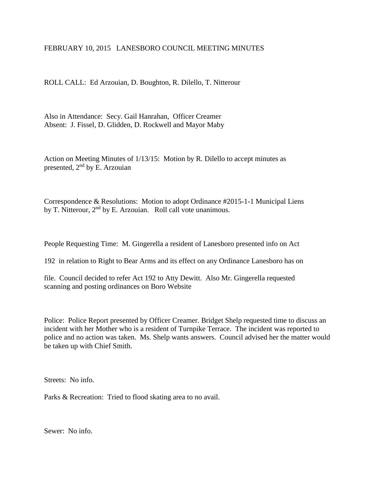## FEBRUARY 10, 2015 LANESBORO COUNCIL MEETING MINUTES

ROLL CALL: Ed Arzouian, D. Boughton, R. Dilello, T. Nitterour

Also in Attendance: Secy. Gail Hanrahan, Officer Creamer Absent: J. Fissel, D. Glidden, D. Rockwell and Mayor Maby

Action on Meeting Minutes of 1/13/15: Motion by R. Dilello to accept minutes as presented, 2nd by E. Arzouian

Correspondence & Resolutions: Motion to adopt Ordinance #2015-1-1 Municipal Liens by T. Nitterour, 2<sup>nd</sup> by E. Arzouian. Roll call vote unanimous.

People Requesting Time: M. Gingerella a resident of Lanesboro presented info on Act

192 in relation to Right to Bear Arms and its effect on any Ordinance Lanesboro has on

file. Council decided to refer Act 192 to Atty Dewitt. Also Mr. Gingerella requested scanning and posting ordinances on Boro Website

Police: Police Report presented by Officer Creamer. Bridget Shelp requested time to discuss an incident with her Mother who is a resident of Turnpike Terrace. The incident was reported to police and no action was taken. Ms. Shelp wants answers. Council advised her the matter would be taken up with Chief Smith.

Streets: No info.

Parks & Recreation: Tried to flood skating area to no avail.

Sewer: No info.